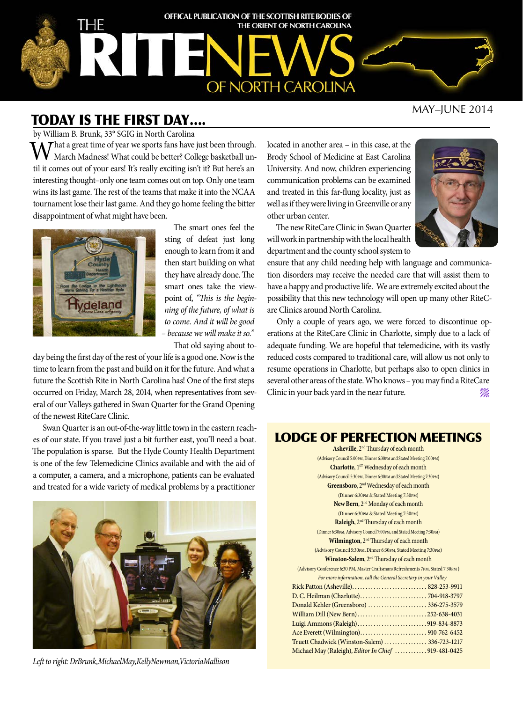

### MAY–JUNE 2014

# TODAY IS THE FIRST DAY….

by William B. Brunk, 33° SGIG in North Carolina

 $\Lambda$  That a great time of year we sports fans have just been through. March Madness! What could be better? College basketball until it comes out of your ears! It's really exciting isn't it? But here's an interesting thought–only one team comes out on top. Only one team wins its last game. The rest of the teams that make it into the NCAA tournament lose their last game. And they go home feeling the bitter disappointment of what might have been.



The smart ones feel the sting of defeat just long enough to learn from it and then start building on what they have already done. The smart ones take the viewpoint of, *"This is the beginning of the future, of what is to come. And it will be good – because we will make it so."*

That old saying about to-

day being the first day of the rest of your life is a good one. Now is the time to learn from the past and build on it for the future. And what a future the Scottish Rite in North Carolina has! One of the first steps occurred on Friday, March 28, 2014, when representatives from several of our Valleys gathered in Swan Quarter for the Grand Opening of the newest RiteCare Clinic.

Swan Quarter is an out-of-the-way little town in the eastern reaches of our state. If you travel just a bit further east, you'll need a boat. The population is sparse. But the Hyde County Health Department is one of the few Telemedicine Clinics available and with the aid of a computer, a camera, and a microphone, patients can be evaluated and treated for a wide variety of medical problems by a practitioner



*Left to right: DrBrunk,MichaelMay,KellyNewman,VictoriaMallison*

located in another area – in this case, at the Brody School of Medicine at East Carolina University. And now, children experiencing communication problems can be examined and treated in this far-flung locality, just as well as if they were living in Greenville or any other urban center.



The new RiteCare Clinic in Swan Quarter will work in partnership with the local health department and the county school system to

ensure that any child needing help with language and communication disorders may receive the needed care that will assist them to have a happy and productive life. We are extremely excited about the possibility that this new technology will open up many other RiteCare Clinics around North Carolina.

Only a couple of years ago, we were forced to discontinue operations at the RiteCare Clinic in Charlotte, simply due to a lack of adequate funding. We are hopeful that telemedicine, with its vastly reduced costs compared to traditional care, will allow us not only to resume operations in Charlotte, but perhaps also to open clinics in several other areas of the state. Who knows – you may find a RiteCare Clinic in your back yard in the near future.

### LODGE OF PERFECTION MEETINGS

| Asheville, 2 <sup>nd</sup> Thursday of each month                               |
|---------------------------------------------------------------------------------|
| (Advisory Council 5:00pm, Dinner 6:30pm and Stated Meeting 7:00pm)              |
| Charlotte, 1 <sup>ST</sup> Wednesday of each month                              |
| (Advisory Council 5:30PM, Dinner 6:30PM and Stated Meeting 7:30PM)              |
| Greensboro, 2 <sup>nd</sup> Wednesday of each month                             |
| (Dinner 6:30PM & Stated Meeting 7:30PM)                                         |
| New Bern, 2 <sup>nd</sup> Monday of each month                                  |
| (Dinner 6:30PM & Stated Meeting 7:30PM)                                         |
| Raleigh, 2 <sup>nd</sup> Thursday of each month                                 |
| (Dinner 6:30PM, Advisory Council 7:00PM, and Stated Meeting 7:30PM)             |
| Wilmington, 2 <sup>nd</sup> Thursday of each month                              |
| (Advisory Council 5:30PM, Dinner 6:30PM, Stated Meeting 7:30PM)                 |
| Winston-Salem, 2 <sup>nd</sup> Thursday of each month                           |
| (Advisory Conference 6:30 PM, Master Craftsman/Refreshments 7PM, Stated 7:30PM) |
| For more information, call the General Secretary in your Valley                 |
|                                                                                 |
|                                                                                 |
| Donald Kehler (Greensboro)  336-275-3579                                        |
| William Dill (New Bern)252-638-4031                                             |
|                                                                                 |
|                                                                                 |
| Truett Chadwick (Winston-Salem)  336-723-1217                                   |
| Michael May (Raleigh), Editor In Chief  919-481-0425                            |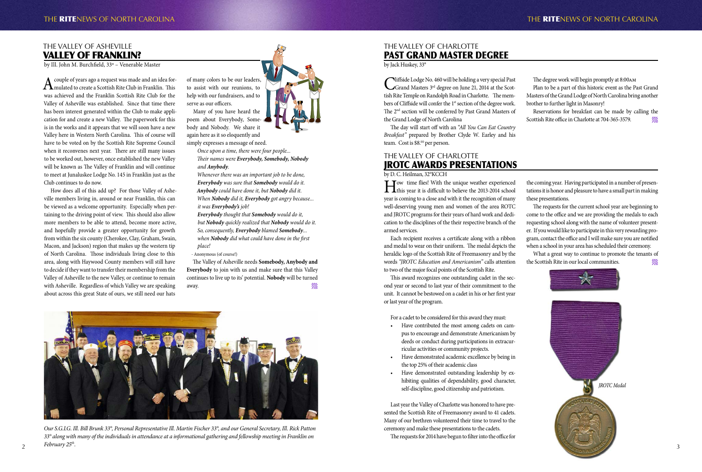## THE VALLEY OF ASHEVILLE VALLEY OF FRANKLIN?

by Ill. John M. Burchfield, 33º – Venerable Master

A couple of years ago a request was made and an idea for- $\Lambda$ mulated to create a Scottish Rite Club in Franklin. This was achieved and the Franklin Scottish Rite Club for the Valley of Asheville was established. Since that time there has been interest generated within the Club to make application for and create a new Valley. The paperwork for this is in the works and it appears that we will soon have a new Valley here in Western North Carolina. This of course will have to be voted on by the Scottish Rite Supreme Council when it reconvenes next year. There are still many issues to be worked out, however, once established the new Valley will be known as The Valley of Franklin and will continue to meet at Junaluskee Lodge No. 145 in Franklin just as the Club continues to do now.

> The Valley of Asheville needs **Somebody, Anybody and Everybody** to join with us and make sure that this Valley continues to live up to its' potential. **Nobody** will be turned away.  $\mathscr{W}_\mathscr{U}$

How does all of this add up? For those Valley of Asheville members living in, around or near Franklin, this can be viewed as a welcome opportunity. Especially when pertaining to the driving point of view. This should also allow more members to be able to attend, become more active, and hopefully provide a greater opportunity for growth from within the six county (Cherokee, Clay, Graham, Swain, Macon, and Jackson) region that makes up the western tip of North Carolina. Those individuals living close to this area, along with Haywood County members will still have to decide if they want to transfer their membership from the Valley of Asheville to the new Valley, or continue to remain with Asheville. Regardless of which Valley we are speaking about across this great State of ours, we still need our hats



*Our S.G.I.G. Ill. Bill Brunk 33°, Personal Representative Ill. Martin Fischer 33°, and our General Secretary, Ill. Rick Patton 33° along with many of the individuals in attendance at a informational gathering and fellowship meeting in Franklin on February 25th.*  $2^{\circ}$  reprudity 25".

Cliffside Lodge No. 460 will be holding a very special Past Grand Masters 3<sup>rd</sup> degree on June 21, 2014 at the Scottish Rite Temple on Randolph Road in Charlotte. The members of Cliffside will confer the 1<sup>st</sup> section of the degree work. The 2<sup>nd</sup> section will be conferred by Past Grand Masters of the Grand Lodge of North Carolina

The day will start off with an "*All You Can Eat Country Breakfast"* prepared by Brother Clyde W. Earley and his team. Cost is \$8.00 per person.

of many colors to be our leaders, to assist with our reunions, to help with our fundraisers, and to serve as our officers.

Reservations for breakfast can be made by calling the Scottish Rite office in Charlotte at 704-365-3579.

Many of you have heard the poem about Everybody, Somebody and Nobody. We share it again here as it so eloquently and simply expresses a message of need.

> *Once upon a time, there were four people... Their names were Everybody, Somebody, Nobody and Anybody.*

*Whenever there was an important job to be done, Everybody was sure that Somebody would do it. Anybody could have done it, but Nobody did it. When Nobody did it, Everybody got angry because... it was Everybody's job!*

*Everybody thought that Somebody would do it, but Nobody quickly realized that Nobody would do it. So, consequently, Everybody blamed Somebody... when Nobody did what could have done in the first place!*

- Anonymous (of course!)

The requests for the current school year are beginning to come to the office and we are providing the medals to each requesting school along with the name of volunteer presenter. If you would like to participate in this very rewarding program, contact the office and I will make sure you are notified when a school in your area has scheduled their ceremony. What a great way to continue to promote the tenants of the Scottish Rite in our local communities.

# THE VALLEY OF CHARLOTTE PAST GRAND MASTER DEGREE

by Jack Huskey, 33°

The degree work will begin promptly at 8:00am

Plan to be a part of this historic event as the Past Grand Masters of the Grand Lodge of North Carolina bring another brother to further light in Masonry!

## THE VALLEY OF CHARLOTTE JROTC AWARDS PRESENTATIONS

by D. C. Heilman, 32°KCCH

How time flies! With the unique weather experienced this year it is difficult to believe the 2013-2014 school year is coming to a close and with it the recognition of many well-deserving young men and women of the area ROTC and JROTC programs for their years of hard work and dedication to the disciplines of the their respective branch of the armed services.

Each recipient receives a certificate along with a ribbon and medal to wear on their uniform. The medal depicts the heraldic logo of the Scottish Rite of Freemasonry and by the words *"JROTC Education and Americanism"* calls attention to two of the major focal points of the Scottish Rite.

This award recognizes one outstanding cadet in the second year or second to last year of their commitment to the unit. It cannot be bestowed on a cadet in his or her first year or last year of the program.

For a cadet to be considered for this award they must:

- Have contributed the most among cadets on campus to encourage and demonstrate Americanism by deeds or conduct during participations in extracurricular activities or community projects.
- Have demonstrated academic excellence by being in the top 25% of their academic class
- Have demonstrated outstanding leadership by exhibiting qualities of dependability, good character, self-discipline, good citizenship and patriotism.

Last year the Valley of Charlotte was honored to have presented the Scottish Rite of Freemasonry award to 41 cadets. Many of our brethren volunteered their time to travel to the ceremony and make these presentations to the cadets.

The requests for 2014 have begun to filter into the office for

the coming year. Having participated in a number of presentations it is honor and pleasure to have a small part in making these presentations.

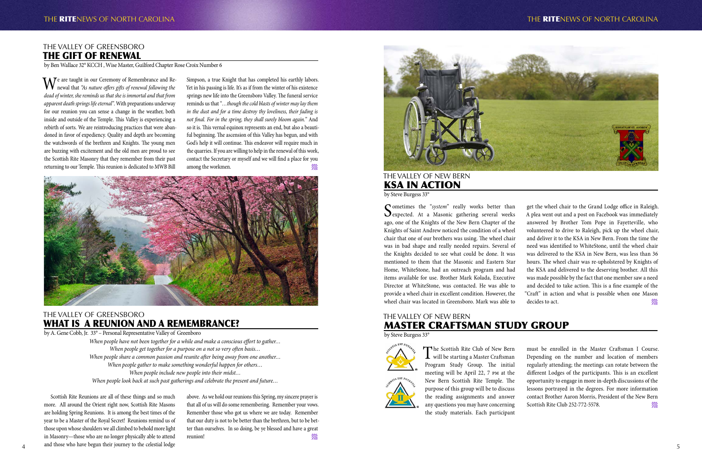### THE VALLEY OF GREENSBORO THE GIFT OF RENEWAL

by Ben Wallace 32° KCCH , Wise Master, Guilford Chapter Rose Croix Number 6

Simpson, a true Knight that has completed his earthly labors. Yet in his passing is life. It's as if from the winter of his existence springs new life into the Greensboro Valley. The funeral service reminds us that "*…though the cold blasts of winter may lay them in the dust and for a time destroy thy loveliness, their fading is not final. For in the spring, they shall surely bloom again.*" And so it is. This vernal equinox represents an end, but also a beautiful beginning. The ascension of this Valley has begun, and with God's help it will continue. This endeavor will require much in the quarries. If you are willing to help in the renewal of this work, contact the Secretary or myself and we will find a place for you among the workmen.



We are taught in our Ceremony of Remembrance and Re-newal that *"As nature offers gifts of renewal following the dead of winter, she reminds us that she is immortal and that from apparent death springs life eternal"*. With preparations underway for our reunion you can sense a change in the weather, both inside and outside of the Temple. This Valley is experiencing a rebirth of sorts. We are reintroducing practices that were abandoned in favor of expediency. Quality and depth are becoming the watchwords of the brethren and Knights. The young men are buzzing with excitement and the old men are proud to see the Scottish Rite Masonry that they remember from their past returning to our Temple. This reunion is dedicated to MWB Bill

Scottish Rite Reunions are all of these things and so much more. All around the Orient right now, Scottish Rite Masons are holding Spring Reunions. It is among the best times of the year to be a Master of the Royal Secret! Reunions remind us of those upon whose shoulders we all climbed to behold more light in Masonry—those who are no longer physically able to attend and those who have begun their journey to the celestial lodge  $4\text{ m}$  and those who have begun their journey to the celestial lodge

above. As we hold our reunions this Spring, my sincere prayer is that all of us will do some remembering. Remember your vows. Remember those who got us where we are today. Remember that our duty is not to be better than the brethren, but to be better than ourselves. In so doing, be ye blessed and have a great reunion!



### THE VALLEY OF GREENSBORO WHAT IS A REUNION AND A REMEMBRANCE?

by A. Gene Cobb, Jr. 33° – Personal Representative Valley of Greenboro

Sometimes the "*system*" really works better than<br>Sexpected. At a Masonic gathering several weeks ago, one of the Knights of the New Bern Chapter of the Knights of Saint Andrew noticed the condition of a wheel chair that one of our brothers was using. The wheel chair was in bad shape and really needed repairs. Several of the Knights decided to see what could be done. It was mentioned to them that the Masonic and Eastern Star Home, WhiteStone, had an outreach program and had items available for use. Brother Mark Kolada, Executive Director at WhiteStone, was contacted. He was able to provide a wheel chair in excellent condition. However, the wheel chair was located in Greensboro. Mark was able to

get the wheel chair to the Grand Lodge office in Raleigh. A plea went out and a post on Facebook was immediately answered by Brother Tom Pope in Fayetteville, who volunteered to drive to Raleigh, pick up the wheel chair, and deliver it to the KSA in New Bern. From the time the need was identified to WhiteStone, until the wheel chair was delivered to the KSA in New Bern, was less than 36 hours. The wheel chair was re-upholstered by Knights of the KSA and delivered to the deserving brother. All this was made possible by the fact that one member saw a need and decided to take action. This is a fine example of the "Craft" in action and what is possible when one Mason decides to act.

*When people have not been together for a while and make a conscious effort to gather… When people get together for a purpose on a not so very often basis… When people share a common passion and reunite after being away from one another… When people gather to make something wonderful happen for others… When people include new people into their midst… When people look back at such past gatherings and celebrate the present and future…*

The Scottish Rite Club of New Bern<br>will be starting a Master Craftsman Program Study Group. The initial meeting will be April 22, 7 pm at the New Bern Scottish Rite Temple. The purpose of this group will be to discuss the reading assignments and answer any questions you may have concerning the study materials. Each participant

# THE VALLEY OF NEW BERN KSA IN ACTION

by Steve Burgess 33°

### THE VALLEY OF NEW BERN MASTER CRAFTSMAN STUDY GROUP

by Steve Burgess 33°



must be enrolled in the Master Craftsman I Course. Depending on the number and location of members regularly attending; the meetings can rotate between the different Lodges of the participants. This is an excellent opportunity to engage in more in-depth discussions of the lessons portrayed in the degrees. For more information contact Brother Aaron Morris, President of the New Bern Scottish Rite Club 252-772-5578.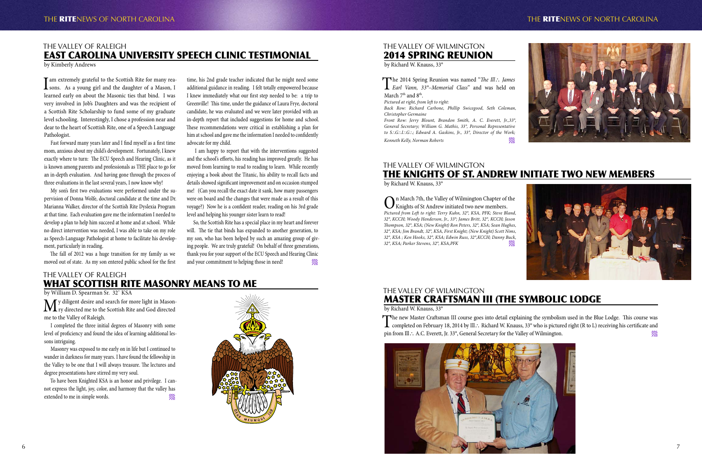

## THE VALLEY OF WILMINGTON MASTER CRAFTSMAN III (THE SYMBOLIC LODGE

by Richard W. Knauss, 33°

The new Master Craftsman III course goes into detail explaining the symbolism used in the Blue Lodge. This course was<br>completed on February 18, 2014 by Ill.: Richard W. Knauss, 33° who is pictured right (R to L) receiving pin from Ill∴ A.C. Everett, Jr. 33°, General Secretary for the Valley of Wilmington.

I am extremely grateful to the Scottish Rite for many rea-<br>sons. As a young girl and the daughter of a Mason, I learned early on about the Masonic ties that bind. I was very involved in Job's Daughters and was the recipient of a Scottish Rite Scholarship to fund some of my graduate level schooling. Interestingly, I chose a profession near and dear to the heart of Scottish Rite, one of a Speech Language Pathologist.

## THE VALLEY OF RALEIGH EAST CAROLINA UNIVERSITY SPEECH CLINIC TESTIMONIAL

by Kimberly Andrews

Fast forward many years later and I find myself as a first time mom, anxious about my child's development. Fortunately, I knew exactly where to turn: The ECU Speech and Hearing Clinic, as it is known among parents and professionals as THE place to go for an in-depth evaluation. And having gone through the process of three evaluations in the last several years, I now know why!

> So, the Scottish Rite has a special place in my heart and forever will. The tie that binds has expanded to another generation, to my son, who has been helped by such an amazing group of giving people. We are truly grateful! On behalf of three generations, thank you for your support of the ECU Speech and Hearing Clinic and your commitment to helping those in need!

My son's first two evaluations were performed under the supervision of Donna Wolfe, doctoral candidate at the time and Dr. Marianna Walker, director of the Scottish Rite Dyslexia Program at that time. Each evaluation gave me the information I needed to develop a plan to help him succeed at home and at school. While no direct intervention was needed, I was able to take on my role as Speech-Language Pathologist at home to facilitate his development, particularly in reading.

 $\mathbf{M}$ y diligent desire and search for more light in Mason-<br>ry directed me to the Scottish Rite and God directed me to the Valley of Raleigh.

The fall of 2012 was a huge transition for my family as we moved out of state. As my son entered public school for the first

To have been Knighted KSA is an honor and privilege. I cannot express the light, joy, color, and harmony that the valley has extended to me in simple words.







The 2014 Spring Reunion was named "*The Ill*<sup>∴</sup> *James Earl Vann, 33°–Memorial Class*" and was held on March 7<sup>th</sup> and 8<sup>th</sup>.

time, his 2nd grade teacher indicated that he might need some additional guidance in reading. I felt totally empowered because I knew immediately what our first step needed to be: a trip to Greenville! This time, under the guidance of Laura Frye, doctoral candidate, he was evaluated and we were later provided with an in-depth report that included suggestions for home and school. These recommendations were critical in establishing a plan for him at school and gave me the information I needed to confidently advocate for my child.

> $\sum_{\text{Riplets}}$  March 7th, the Valley of Wilmington Chapter of the Knights of St Andrew initiated two new members. *Pictured from Left to right: Terry Kuhn, 32°, KSA, PFK; Steve Bland, 32°, KCCH; Woody Henderson, Jr., 33°; James Britt, 32°, KCCH; Jason Thompson, 32°, KSA; (New Knight) Ron Peters, 32°, KSA; Sean Hughes, 32°, KSA; Jim Brandt, 32°, KSA, First Knight; (New Knight) Scott Nims, 32°, KSA ; Ken Hooks, 32°, KSA; Edwin Russ, 32°,KCCH; Danny Buck, 32°, KSA; Parker Stevens, 32°, KSA,PFK*



 I am happy to report that with the interventions suggested and the school's efforts, his reading has improved greatly. He has moved from learning to read to reading to learn. While recently enjoying a book about the Titanic, his ability to recall facts and details showed significant improvement and on occasion stumped me! (Can you recall the exact date it sank, how many passengers were on board and the changes that were made as a result of this voyage?) Now he is a confident reader, reading on his 3rd grade level and helping his younger sister learn to read!

## THE VALLEY OF RALEIGH WHAT SCOTTISH RITE MASONRY MEANS TO ME

by William D. Spearman Sr. 32˚ KSA

I completed the three initial degrees of Masonry with some level of proficiency and found the idea of learning additional lessons intriguing.

Masonry was exposed to me early on in life but I continued to wander in darkness for many years. I have found the fellowship in the Valley to be one that I will always treasure. The lectures and degree presentations have stirred my very soul.

THE VALLEY OF WILMINGTON 2014 SPRING REUNION

by Richard W. Knauss, 33°

*Pictured at right, from left to right:*

*Back Row: Richard Carbone, Phillip Swicegood, Seth Coleman, Christopher Germaine*

*Front Row: Jerry Blount, Brandon Smith, A. C. Everett, Jr.,33°, General Secretary; William G. Mathis, 33°, Personal Representative to S*∴*G*∴*I*∴*G*∴*; Edward A. Gaskins, Jr., 33°, Director of the Work; Kenneth Kelly, Norman Roberts*

THE VALLEY OF WILMINGTON THE KNIGHTS OF ST. ANDREW INITIATE TWO NEW MEMBERS

by Richard W. Knauss, 33°